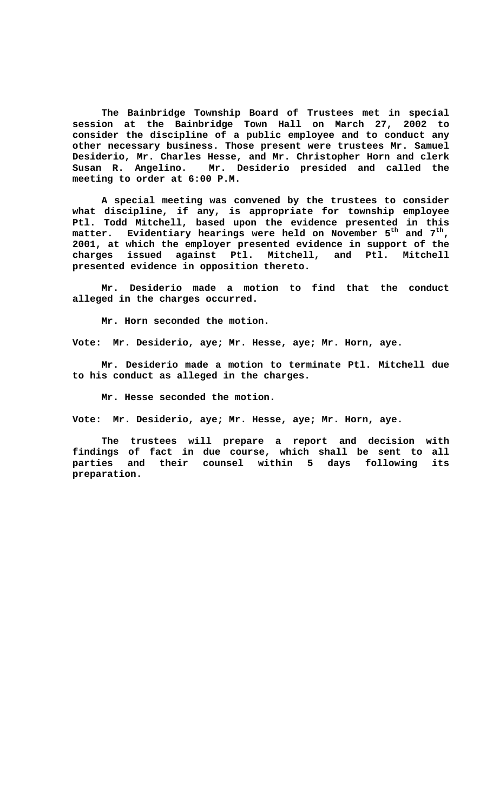**The Bainbridge Township Board of Trustees met in special session at the Bainbridge Town Hall on March 27, 2002 to consider the discipline of a public employee and to conduct any other necessary business. Those present were trustees Mr. Samuel Desiderio, Mr. Charles Hesse, and Mr. Christopher Horn and clerk Susan R. Angelino. Mr. Desiderio presided and called the meeting to order at 6:00 P.M.**

**A special meeting was convened by the trustees to consider what discipline, if any, is appropriate for township employee Ptl. Todd Mitchell, based upon the evidence presented in this matter. Evidentiary hearings were held on November 5th and 7th, 2001, at which the employer presented evidence in support of the charges issued against Ptl. Mitchell, and Ptl. Mitchell presented evidence in opposition thereto.**

**Mr. Desiderio made a motion to find that the conduct alleged in the charges occurred.**

**Mr. Horn seconded the motion.**

**Vote: Mr. Desiderio, aye; Mr. Hesse, aye; Mr. Horn, aye.**

**Mr. Desiderio made a motion to terminate Ptl. Mitchell due to his conduct as alleged in the charges.**

**Mr. Hesse seconded the motion.**

**Vote: Mr. Desiderio, aye; Mr. Hesse, aye; Mr. Horn, aye.**

**The trustees will prepare a report and decision with findings of fact in due course, which shall be sent to all parties and their counsel within 5 days following its preparation.**